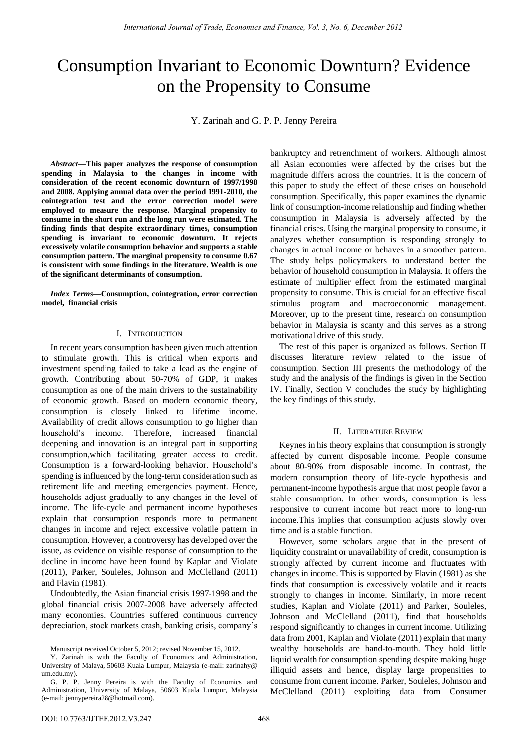# Consumption Invariant to Economic Downturn? Evidence on the Propensity to Consume

Y. Zarinah and G. P. P. Jenny Pereira

*Abstract***—This paper analyzes the response of consumption spending in Malaysia to the changes in income with consideration of the recent economic downturn of 1997/1998 and 2008. Applying annual data over the period 1991-2010, the cointegration test and the error correction model were employed to measure the response. Marginal propensity to consume in the short run and the long run were estimated. The finding finds that despite extraordinary times, consumption spending is invariant to economic downturn. It rejects excessively volatile consumption behavior and supports a stable consumption pattern. The marginal propensity to consume 0.67 is consistent with some findings in the literature. Wealth is one of the significant determinants of consumption.** 

*Index Terms***—Consumption, cointegration, error correction model, financial crisis** 

### I. INTRODUCTION

In recent years consumption has been given much attention to stimulate growth. This is critical when exports and investment spending failed to take a lead as the engine of growth. Contributing about 50-70% of GDP, it makes consumption as one of the main drivers to the sustainability of economic growth. Based on modern economic theory, consumption is closely linked to lifetime income. Availability of credit allows consumption to go higher than household's income. Therefore, increased financial deepening and innovation is an integral part in supporting consumption,which facilitating greater access to credit. Consumption is a forward-looking behavior. Household's spending is influenced by the long-term consideration such as retirement life and meeting emergencies payment. Hence, households adjust gradually to any changes in the level of income. The life-cycle and permanent income hypotheses explain that consumption responds more to permanent changes in income and reject excessive volatile pattern in consumption. However, a controversy has developed over the issue, as evidence on visible response of consumption to the decline in income have been found by Kaplan and Violate (2011), Parker, Souleles, Johnson and McClelland (2011) and Flavin (1981).

Undoubtedly, the Asian financial crisis 1997-1998 and the global financial crisis 2007-2008 have adversely affected many economies. Countries suffered continuous currency depreciation, stock markets crash, banking crisis, company's bankruptcy and retrenchment of workers. Although almost all Asian economies were affected by the crises but the magnitude differs across the countries. It is the concern of this paper to study the effect of these crises on household consumption. Specifically, this paper examines the dynamic link of consumption-income relationship and finding whether consumption in Malaysia is adversely affected by the financial crises. Using the marginal propensity to consume, it analyzes whether consumption is responding strongly to changes in actual income or behaves in a smoother pattern. The study helps policymakers to understand better the behavior of household consumption in Malaysia. It offers the estimate of multiplier effect from the estimated marginal propensity to consume. This is crucial for an effective fiscal stimulus program and macroeconomic management. Moreover, up to the present time, research on consumption behavior in Malaysia is scanty and this serves as a strong motivational drive of this study.

The rest of this paper is organized as follows. Section II discusses literature review related to the issue of consumption. Section III presents the methodology of the study and the analysis of the findings is given in the Section IV. Finally, Section V concludes the study by highlighting the key findings of this study.

#### II. LITERATURE REVIEW

Keynes in his theory explains that consumption is strongly affected by current disposable income. People consume about 80-90% from disposable income. In contrast, the modern consumption theory of life-cycle hypothesis and permanent-income hypothesis argue that most people favor a stable consumption. In other words, consumption is less responsive to current income but react more to long-run income.This implies that consumption adjusts slowly over time and is a stable function.

However, some scholars argue that in the present of liquidity constraint or unavailability of credit, consumption is strongly affected by current income and fluctuates with changes in income. This is supported by Flavin (1981) as she finds that consumption is excessively volatile and it reacts strongly to changes in income. Similarly, in more recent studies, Kaplan and Violate (2011) and Parker, Souleles, Johnson and McClelland (2011), find that households respond significantly to changes in current income. Utilizing data from 2001, Kaplan and Violate (2011) explain that many wealthy households are hand-to-mouth. They hold little liquid wealth for consumption spending despite making huge illiquid assets and hence, display large propensities to consume from current income. Parker, Souleles, Johnson and McClelland (2011) exploiting data from Consumer

Manuscript received October 5, 2012; revised November 15, 2012.

Y. Zarinah is with the Faculty of Economics and Administration, University of Malaya, 50603 Kuala Lumpur, Malaysia (e-mail: zarinahy@ um.edu.my).

G. P. P. Jenny Pereira is with the Faculty of Economics and Administration, University of Malaya, 50603 Kuala Lumpur, Malaysia (e-mail[: jennypereira28@hotmail.com\)](mailto:jennypereira28@hotmail.com).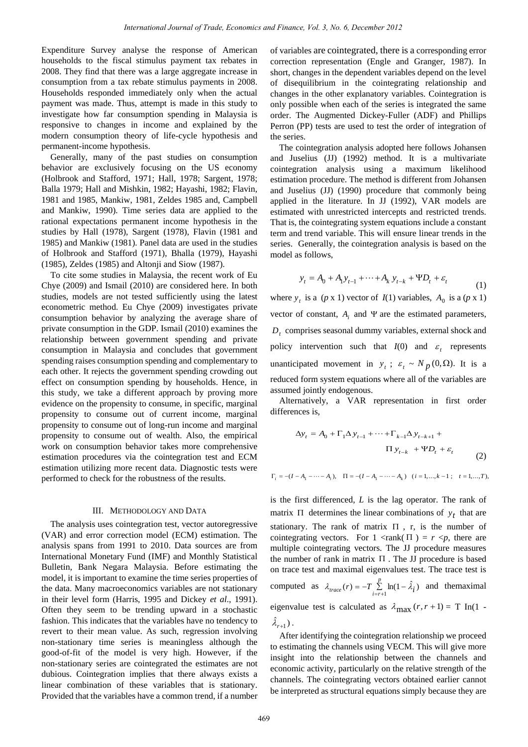Expenditure Survey analyse the response of American households to the fiscal stimulus payment tax rebates in 2008. They find that there was a large aggregate increase in consumption from a tax rebate stimulus payments in 2008. Households responded immediately only when the actual payment was made. Thus, attempt is made in this study to investigate how far consumption spending in Malaysia is responsive to changes in income and explained by the modern consumption theory of life-cycle hypothesis and permanent-income hypothesis.

Generally, many of the past studies on consumption behavior are exclusively focusing on the US economy (Holbrook and Stafford, 1971; Hall, 1978; Sargent, 1978; Balla 1979; Hall and Mishkin, 1982; Hayashi, 1982; Flavin, 1981 and 1985, Mankiw, 1981, Zeldes 1985 and, Campbell and Mankiw, 1990). Time series data are applied to the rational expectations permanent income hypothesis in the studies by Hall (1978), Sargent (1978), Flavin (1981 and 1985) and Mankiw (1981). Panel data are used in the studies of Holbrook and Stafford (1971), Bhalla (1979), Hayashi (1985), Zeldes (1985) and Altonji and Siow (1987).

To cite some studies in Malaysia, the recent work of Eu Chye (2009) and Ismail (2010) are considered here. In both studies, models are not tested sufficiently using the latest econometric method. Eu Chye (2009) investigates private consumption behavior by analyzing the average share of private consumption in the GDP. Ismail (2010) examines the relationship between government spending and private consumption in Malaysia and concludes that government spending raises consumption spending and complementary to each other. It rejects the government spending crowding out effect on consumption spending by households. Hence, in this study, we take a different approach by proving more evidence on the propensity to consume, in specific, marginal propensity to consume out of current income, marginal propensity to consume out of long-run income and marginal propensity to consume out of wealth. Also, the empirical work on consumption behavior takes more comprehensive estimation procedures via the cointegration test and ECM estimation utilizing more recent data. Diagnostic tests were performed to check for the robustness of the results.

#### III. METHODOLOGY AND DATA

The analysis uses cointegration test, vector autoregressive (VAR) and error correction model (ECM) estimation. The analysis spans from 1991 to 2010. Data sources are from International Monetary Fund (IMF) and Monthly Statistical Bulletin, Bank Negara Malaysia. Before estimating the model, it is important to examine the time series properties of the data. Many macroeconomics variables are not stationary in their level form (Harris, 1995 and Dickey *et al*., 1991). Often they seem to be trending upward in a stochastic fashion. This indicates that the variables have no tendency to revert to their mean value. As such, regression involving non-stationary time series is meaningless although the good-of-fit of the model is very high. However, if the non-stationary series are cointegrated the estimates are not dubious. Cointegration implies that there always exists a linear combination of these variables that is stationary. Provided that the variables have a common trend, if a number of variables are cointegrated, there is a corresponding error correction representation (Engle and Granger, 1987). In short, changes in the dependent variables depend on the level of disequilibrium in the cointegrating relationship and changes in the other explanatory variables. Cointegration is only possible when each of the series is integrated the same order. The Augmented Dickey-Fuller (ADF) and Phillips Perron (PP) tests are used to test the order of integration of the series.

The cointegration analysis adopted here follows Johansen and Juselius (JJ) (1992) method. It is a multivariate cointegration analysis using a maximum likelihood estimation procedure. The method is different from Johansen and Juselius (JJ) (1990) procedure that commonly being applied in the literature. In JJ (1992), VAR models are estimated with unrestricted intercepts and restricted trends. That is, the cointegrating system equations include a constant term and trend variable. This will ensure linear trends in the series. Generally, the cointegration analysis is based on the model as follows,

$$
y_{t} = A_{0} + A_{1}y_{t-1} + \dots + A_{k}y_{t-k} + \Psi D_{t} + \varepsilon_{t}
$$
 (1)

where  $y_t$  is a (*p* x 1) vector of *I*(1) variables,  $A_0$  is a (*p* x 1) vector of constant,  $A_i$  and  $\Psi$  are the estimated parameters, *Dt* comprises seasonal dummy variables, external shock and policy intervention such that  $I(0)$  and  $\varepsilon_t$  represents unanticipated movement in  $y_t$ ;  $\varepsilon_t \sim N_p(0, \Omega)$ . It is a reduced form system equations where all of the variables are assumed jointly endogenous.

Alternatively, a VAR representation in first order differences is,

$$
\Delta y_t = A_0 + \Gamma_1 \Delta y_{t-1} + \dots + \Gamma_{k-1} \Delta y_{t-k+1} + \Pi y_{t-k} + \Psi D_t + \varepsilon_t
$$
\n(2)

 $\Gamma_i = -(I - A_1 - \cdots - A_i), \quad \Pi = -(I - A_1 - \cdots - A_k) \quad (i = 1, \dots, k - 1; \quad t = 1, \dots, T),$ 

is the first differenced, *L* is the lag operator. The rank of matrix  $\Pi$  determines the linear combinations of  $y_t$  that are stationary. The rank of matrix  $\Pi$ , r, is the number of cointegrating vectors. For  $1 \leq rank(\Pi) = r \leq p$ , there are multiple cointegrating vectors. The JJ procedure measures the number of rank in matrix  $\Pi$ . The JJ procedure is based on trace test and maximal eigenvalues test. The trace test is computed as  $\lambda_{trace}(r) = -T \sum_{i=r+1}^{p} \ln(1 - \hat{\lambda}_i)$ *p*  $\lambda_{trace}(r) = -T \sum_{i=r+1}^{r} \ln(1 - \lambda_i)$  and themaximal eigenvalue test is calculated as  $\lambda_{\text{max}} (r, r + 1) = T \ln(1 \hat{\lambda}_{r+1}$ ).

After identifying the cointegration relationship we proceed to estimating the channels using VECM. This will give more insight into the relationship between the channels and economic activity, particularly on the relative strength of the channels. The cointegrating vectors obtained earlier cannot be interpreted as structural equations simply because they are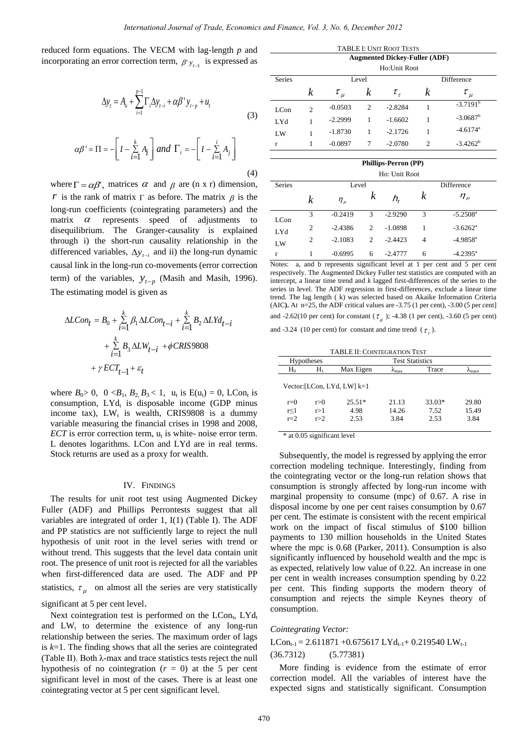reduced form equations. The VECM with lag-length *p* and incorporating an error correction term,  $\beta' y_{t-1}$  is expressed as

$$
\Delta y_t = A_o + \sum_{i=1}^{p-1} \Gamma_i \Delta y_{t-i} + \alpha \beta' y_{t-p} + u_t
$$
\n(3)

$$
\alpha \beta' = \Pi = -\left[I - \sum_{i=1}^{k} A_i\right] \text{ and } \Gamma_i = -\left[I - \sum_{i=1}^{i} A_i\right]
$$

(4)

where  $\Gamma = \alpha \beta'$ , matrices  $\alpha$  and  $\beta$  are (n x r) dimension, *r* is the rank of matrix  $\Gamma$  as before. The matrix  $\beta$  is the long-run coefficients (cointegrating parameters) and the matrix  $\alpha$  represents speed of adjustments to disequilibrium. The Granger-causality is explained through i) the short-run causality relationship in the differenced variables,  $\Delta y_{t-i}$  and ii) the long-run dynamic causal link in the long-run co-movements (error correction term) of the variables,  $y_{t-p}$  (Masih and Masih, 1996). The estimating model is given as

$$
\begin{aligned} \Delta L Con_t&=B_0+\sum\limits_{i=1}^k \beta_1\Delta L Con_{t-i}+\sum\limits_{i=1}^k B_2\Delta L Yd_{t-i}\\ &+\sum\limits_{i=1}^k B_3\Delta L W_{t-i}\ +\phi CRIS9808\\ &+\gamma ECT_{t-1}+\varepsilon_t \end{aligned}
$$

where  $B_0 > 0$ ,  $0 < B_1$ ,  $B_2$ ,  $B_3 < 1$ ,  $u_t$  is  $E(u_t) = 0$ , LCon<sub>t</sub> is consumption,  $LYd_t$  is disposable income (GDP minus income tax),  $LW_t$  is wealth, CRIS9808 is a dummy variable measuring the financial crises in 1998 and 2008, *ECT* is error correction term,  $u_t$  is white-noise error term. L denotes logarithms. LCon and LYd are in real terms. Stock returns are used as a proxy for wealth.

#### IV. FINDINGS

The results for unit root test using Augmented Dickey Fuller (ADF) and Phillips Perrontests suggest that all variables are integrated of order 1, I(1) (Table I). The ADF and PP statistics are not sufficiently large to reject the null hypothesis of unit root in the level series with trend or without trend. This suggests that the level data contain unit root. The presence of unit root is rejected for all the variables when first-differenced data are used. The ADF and PP statistics,  $\tau_{\mu}$  on almost all the series are very statistically

significant at 5 per cent level.

Next cointegration test is performed on the LCon<sub>t</sub>, LYd<sub>t</sub> and  $LW_t$  to determine the existence of any long-run relationship between the series. The maximum order of lags is *k*=1. The finding shows that all the series are cointegrated (Table II). Both λ-max and trace statistics tests reject the null hypothesis of no cointegration  $(r = 0)$  at the 5 per cent significant level in most of the cases. There is at least one cointegrating vector at 5 per cent significant level.

| <b>TABLE I: UNIT ROOT TESTS</b> |                                      |              |                |               |                             |                        |  |  |
|---------------------------------|--------------------------------------|--------------|----------------|---------------|-----------------------------|------------------------|--|--|
|                                 | <b>Augmented Dickey-Fuller (ADF)</b> |              |                |               |                             |                        |  |  |
|                                 | Ho:Unit Root                         |              |                |               |                             |                        |  |  |
| <b>Series</b>                   |                                      | Level        |                |               |                             | Difference             |  |  |
|                                 | k                                    | $\tau_{\mu}$ | k              | $\tau_{\tau}$ | $\boldsymbol{k}$            | $\tau_{\mu}$           |  |  |
| LC <sub>on</sub>                | $\overline{c}$                       | $-0.0503$    | $\overline{c}$ | $-2.8284$     |                             | $-3.7191$ <sup>b</sup> |  |  |
| LYd                             |                                      | $-2.2999$    | 1              | $-1.6602$     | 1                           | $-3.0687$ <sup>b</sup> |  |  |
| LW                              |                                      | $-1.8730$    | 1              | $-2.1726$     | 1                           | $-4.6174$ <sup>a</sup> |  |  |
| r                               |                                      | $-0.0897$    | 7              | $-2.0780$     | $\mathcal{D}_{\mathcal{L}}$ | $-3.4262^b$            |  |  |
|                                 |                                      |              |                |               |                             |                        |  |  |

|               | <b>Phillips-Perron (PP)</b><br>Ho: Unit Root |              |                |           |            |                        |  |  |  |
|---------------|----------------------------------------------|--------------|----------------|-----------|------------|------------------------|--|--|--|
|               |                                              |              |                |           |            |                        |  |  |  |
| <b>Series</b> | Level                                        |              |                |           | Difference |                        |  |  |  |
|               | k                                            | $\eta_{\mu}$ | k              | $h_{t}$   | k          | $\eta_{\mu}$           |  |  |  |
| LCon          | 3                                            | $-0.2419$    | 3              | $-2.9290$ | 3          | $-5.2508$ <sup>a</sup> |  |  |  |
| LYd           | $\overline{c}$                               | $-2.4386$    | $\overline{c}$ | $-1.0898$ | 1          | $-3.6262$ <sup>a</sup> |  |  |  |
| LW            | $\overline{c}$                               | $-2.1083$    | $\overline{c}$ | $-2.4423$ | 4          | $-4.9858$ <sup>a</sup> |  |  |  |
| r             |                                              | $-0.6995$    | 6              | $-2.4777$ | 6          | $-4.2395$ <sup>a</sup> |  |  |  |

Notes: a, and b represents significant level at 1 per cent and 5 per cent respectively. The Augmented Dickey Fuller test statistics are computed with an intercept, a linear time trend and *k* lagged first-differences of the series to the series in level. The ADF regression in first-differences, exclude a linear time trend. The lag length ( k) was selected based on Akaike Information Criteria (AIC**).** At n=25, the ADF critical values are -3.75 (1 per cent), -3.00 (5 per cent] and -2.62(10 per cent) for constant ( $\tau_{\mu}$ ); -4.38 (1 per cent), -3.60 (5 per cent)

and -3.24 (10 per cent) for constant and time trend  $(\tau_z)$ .

| <b>TABLE II: COINTEGRATION TEST</b> |                               |                        |                        |        |                    |  |  |  |  |
|-------------------------------------|-------------------------------|------------------------|------------------------|--------|--------------------|--|--|--|--|
| <b>Hypotheses</b>                   |                               | <b>Test Statistics</b> |                        |        |                    |  |  |  |  |
| $H_0$                               | $H_1$                         | Max Eigen              | $\lambda_{\text{max}}$ | Trace  | A <sub>trace</sub> |  |  |  |  |
|                                     | Vector: [LCon, LYd, LW] $k=1$ |                        |                        |        |                    |  |  |  |  |
| $r=0$                               | r>0                           | $25.51*$               | 21.13                  | 33.03* | 29.80              |  |  |  |  |
| r<1                                 | r > 1                         | 4.98                   | 14.26                  | 7.52   | 15.49              |  |  |  |  |
| $r=2$                               | r > 2                         | 2.53                   | 3.84                   | 2.53   | 3.84               |  |  |  |  |
|                                     |                               |                        |                        |        |                    |  |  |  |  |

\* at 0.05 significant level

Subsequently, the model is regressed by applying the error correction modeling technique. Interestingly, finding from the cointegrating vector or the long-run relation shows that consumption is strongly affected by long-run income with marginal propensity to consume (mpc) of 0.67. A rise in disposal income by one per cent raises consumption by 0.67 per cent. The estimate is consistent with the recent empirical work on the impact of fiscal stimulus of \$100 billion payments to 130 million households in the United States where the mpc is 0.68 (Parker, 2011). Consumption is also significantly influenced by household wealth and the mpc is as expected, relatively low value of 0.22. An increase in one per cent in wealth increases consumption spending by 0.22 per cent. This finding supports the modern theory of consumption and rejects the simple Keynes theory of consumption.

#### *Cointegrating Vector:*

## $LCon_{t-1} = 2.611871 + 0.675617$   $LYd_{t-1} + 0.219540$   $LW_{t-1}$ (36.7312) (5.77381)

More finding is evidence from the estimate of error correction model. All the variables of interest have the expected signs and statistically significant. Consumption